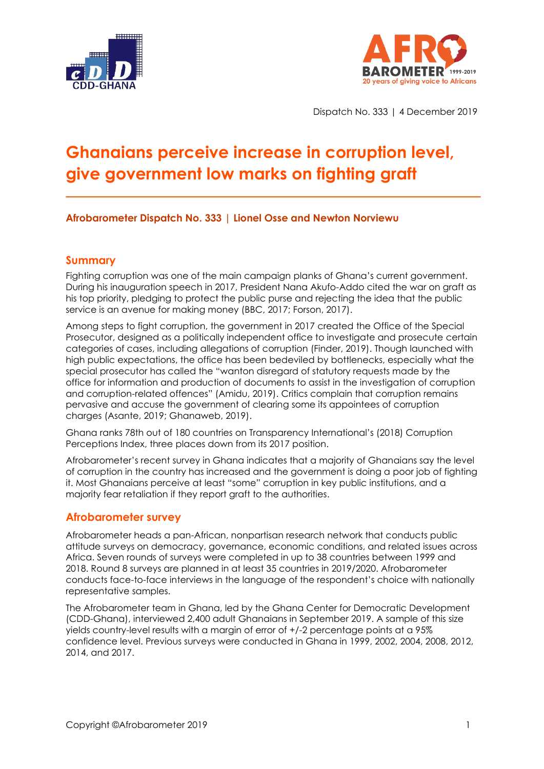



Dispatch No. 333 | 4 December 2019

# **Ghanaians perceive increase in corruption level, give government low marks on fighting graft**

**Afrobarometer Dispatch No. 333 | Lionel Osse and Newton Norviewu**

### **Summary**

Fighting corruption was one of the main campaign planks of Ghana's current government. During his inauguration speech in 2017, President Nana Akufo-Addo cited the war on graft as his top priority, pledging to protect the public purse and rejecting the idea that the public service is an avenue for making money (BBC, 2017; Forson, 2017).

Among steps to fight corruption, the government in 2017 created the Office of the Special Prosecutor, designed as a politically independent office to investigate and prosecute certain categories of cases, including allegations of corruption (Finder, 2019). Though launched with high public expectations, the office has been bedeviled by bottlenecks, especially what the special prosecutor has called the "wanton disregard of statutory requests made by the office for information and production of documents to assist in the investigation of corruption and corruption-related offences" (Amidu, 2019). Critics complain that corruption remains pervasive and accuse the government of clearing some its appointees of corruption charges (Asante, 2019; Ghanaweb, 2019).

Ghana ranks 78th out of 180 countries on Transparency International's (2018) Corruption Perceptions Index, three places down from its 2017 position.

Afrobarometer's recent survey in Ghana indicates that a majority of Ghanaians say the level of corruption in the country has increased and the government is doing a poor job of fighting it. Most Ghanaians perceive at least "some" corruption in key public institutions, and a majority fear retaliation if they report graft to the authorities.

### **Afrobarometer survey**

Afrobarometer heads a pan-African, nonpartisan research network that conducts public attitude surveys on democracy, governance, economic conditions, and related issues across Africa. Seven rounds of surveys were completed in up to 38 countries between 1999 and 2018. Round 8 surveys are planned in at least 35 countries in 2019/2020. Afrobarometer conducts face-to-face interviews in the language of the respondent's choice with nationally representative samples.

The Afrobarometer team in Ghana, led by the Ghana Center for Democratic Development (CDD-Ghana), interviewed 2,400 adult Ghanaians in September 2019. A sample of this size yields country-level results with a margin of error of +/-2 percentage points at a 95% confidence level. Previous surveys were conducted in Ghana in 1999, 2002, 2004, 2008, 2012, 2014, and 2017.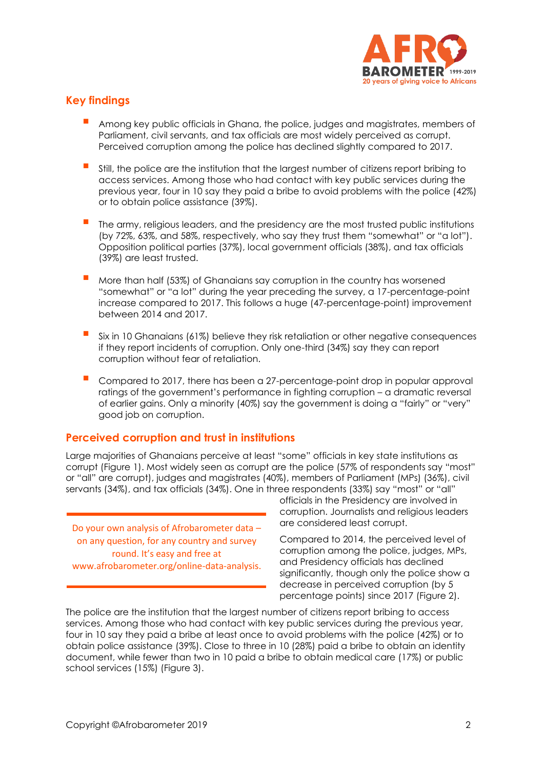

## **Key findings**

- Among key public officials in Ghana, the police, judges and magistrates, members of Parliament, civil servants, and tax officials are most widely perceived as corrupt. Perceived corruption among the police has declined slightly compared to 2017.
- **E** Still, the police are the institution that the largest number of citizens report bribing to access services. Among those who had contact with key public services during the previous year, four in 10 say they paid a bribe to avoid problems with the police (42%) or to obtain police assistance (39%).
- The army, religious leaders, and the presidency are the most trusted public institutions (by 72%, 63%, and 58%, respectively, who say they trust them "somewhat" or "a lot"). Opposition political parties (37%), local government officials (38%), and tax officials (39%) are least trusted.
- More than half (53%) of Ghanaians say corruption in the country has worsened "somewhat" or "a lot" during the year preceding the survey, a 17-percentage-point increase compared to 2017. This follows a huge (47-percentage-point) improvement between 2014 and 2017.
- Six in 10 Ghanaians (61%) believe they risk retaliation or other negative consequences if they report incidents of corruption. Only one-third (34%) say they can report corruption without fear of retaliation.
- Compared to 2017, there has been a 27-percentage-point drop in popular approval ratings of the government's performance in fighting corruption – a dramatic reversal of earlier gains. Only a minority (40%) say the government is doing a "fairly" or "very" good job on corruption.

#### **Perceived corruption and trust in institutions**

Large majorities of Ghanaians perceive at least "some" officials in key state institutions as corrupt (Figure 1). Most widely seen as corrupt are the police (57% of respondents say "most" or "all" are corrupt), judges and magistrates (40%), members of Parliament (MPs) (36%), civil servants (34%), and tax officials (34%). One in three respondents (33%) say "most" or "all"

Do your own analysis of Afrobarometer data – on any question, for any country and survey round. It's easy and free at www.afrobarometer.org/online-data-analysis. officials in the Presidency are involved in corruption. Journalists and religious leaders are considered least corrupt.

Compared to 2014, the perceived level of corruption among the police, judges, MPs, and Presidency officials has declined significantly, though only the police show a decrease in perceived corruption (by 5 percentage points) since 2017 (Figure 2).

The police are the institution that the largest number of citizens report bribing to access services. Among those who had contact with key public services during the previous year, four in 10 say they paid a bribe at least once to avoid problems with the police (42%) or to obtain police assistance (39%). Close to three in 10 (28%) paid a bribe to obtain an identity document, while fewer than two in 10 paid a bribe to obtain medical care (17%) or public school services (15%) (Figure 3).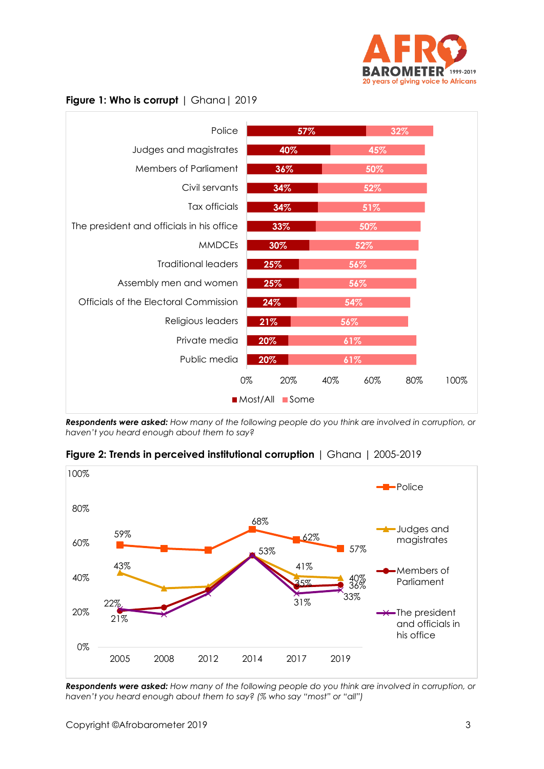

#### **Figure 1: Who is corrupt** | Ghana| 2019



*Respondents were asked: How many of the following people do you think are involved in corruption, or haven't you heard enough about them to say?* 



**Figure 2: Trends in perceived institutional corruption** | Ghana | 2005-2019

*Respondents were asked: How many of the following people do you think are involved in corruption, or haven't you heard enough about them to say? (% who say "most" or "all")*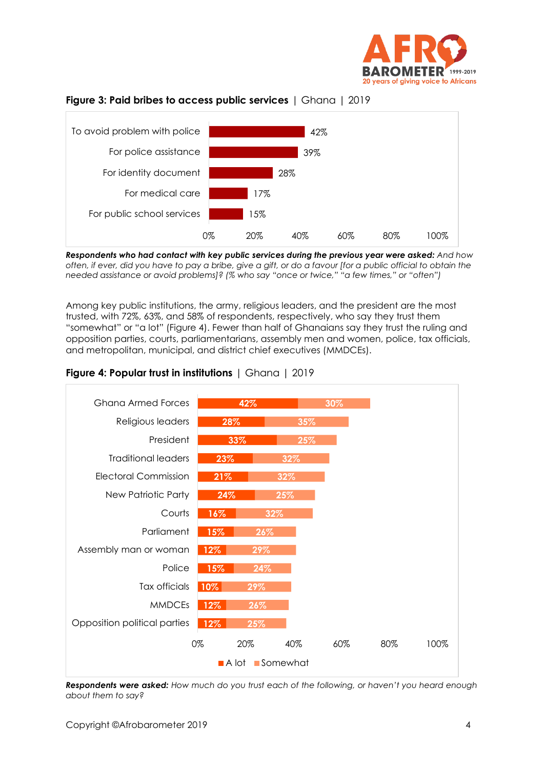





*Respondents who had contact with key public services during the previous year were asked: And how often, if ever, did you have to pay a bribe, give a gift, or do a favour [for a public official to obtain the needed assistance or avoid problems]? (% who say "once or twice," "a few times," or "often")*

Among key public institutions, the army, religious leaders, and the president are the most trusted, with 72%, 63%, and 58% of respondents, respectively, who say they trust them "somewhat" or "a lot" (Figure 4). Fewer than half of Ghanaians say they trust the ruling and opposition parties, courts, parliamentarians, assembly men and women, police, tax officials, and metropolitan, municipal, and district chief executives (MMDCEs).



### **Figure 4: Popular trust in institutions** | Ghana | 2019

*Respondents were asked: How much do you trust each of the following, or haven't you heard enough about them to say?*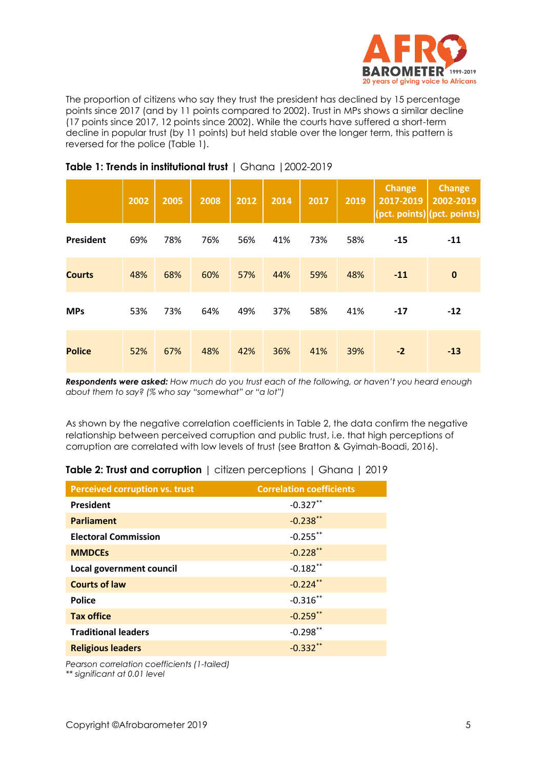

The proportion of citizens who say they trust the president has declined by 15 percentage points since 2017 (and by 11 points compared to 2002). Trust in MPs shows a similar decline (17 points since 2017, 12 points since 2002). While the courts have suffered a short-term decline in popular trust (by 11 points) but held stable over the longer term, this pattern is reversed for the police (Table 1).

|                  | 2002 | 2005 | 2008 | 2012 | 2014 | 2017 | 2019 | <b>Change</b><br>2017-2019 | <b>Change</b><br>2002-2019<br>(pct. points) (pct. points) |
|------------------|------|------|------|------|------|------|------|----------------------------|-----------------------------------------------------------|
| <b>President</b> | 69%  | 78%  | 76%  | 56%  | 41%  | 73%  | 58%  | $-15$                      | $-11$                                                     |
| <b>Courts</b>    | 48%  | 68%  | 60%  | 57%  | 44%  | 59%  | 48%  | $-11$                      | $\mathbf 0$                                               |
| <b>MPs</b>       | 53%  | 73%  | 64%  | 49%  | 37%  | 58%  | 41%  | $-17$                      | $-12$                                                     |
| <b>Police</b>    | 52%  | 67%  | 48%  | 42%  | 36%  | 41%  | 39%  | $-2$                       | $-13$                                                     |

#### **Table 1: Trends in institutional trust** | Ghana |2002-2019

*Respondents were asked: How much do you trust each of the following, or haven't you heard enough about them to say? (% who say "somewhat" or "a lot")*

As shown by the negative correlation coefficients in Table 2, the data confirm the negative relationship between perceived corruption and public trust, i.e. that high perceptions of corruption are correlated with low levels of trust (see Bratton & Gyimah-Boadi, 2016).

| Table 2: Trust and corruption   citizen perceptions   Ghana   2019 |
|--------------------------------------------------------------------|
|--------------------------------------------------------------------|

| <b>Perceived corruption vs. trust</b> | <b>Correlation coefficients</b> |
|---------------------------------------|---------------------------------|
| <b>President</b>                      | $-0.327**$                      |
| <b>Parliament</b>                     | $-0.238**$                      |
| <b>Electoral Commission</b>           | $-0.255$ **                     |
| <b>MMDCEs</b>                         | $-0.228$ **                     |
| Local government council              | $-0.182$ **                     |
| <b>Courts of law</b>                  | $-0.224**$                      |
| <b>Police</b>                         | $-0.316$ **                     |
| <b>Tax office</b>                     | $-0.259$ **                     |
| <b>Traditional leaders</b>            | $-0.298**$                      |
| <b>Religious leaders</b>              | $-0.332**$                      |
|                                       |                                 |

*Pearson correlation coefficients (1-tailed) \*\* significant at 0.01 level*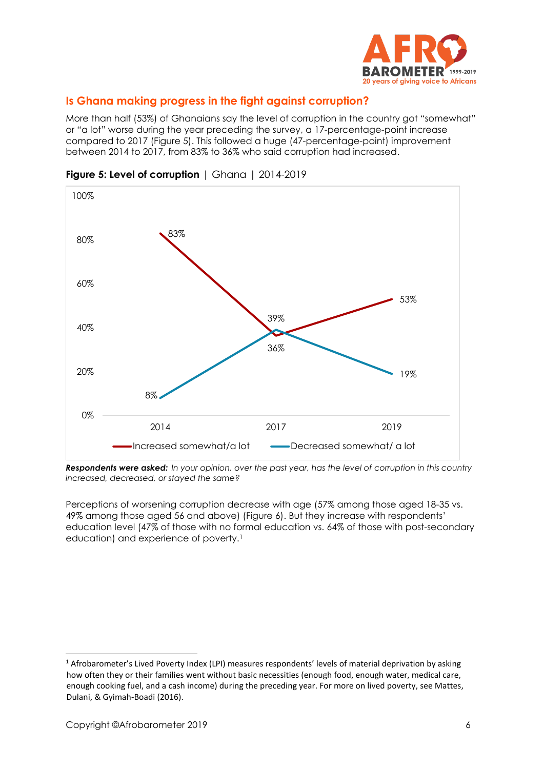

# **Is Ghana making progress in the fight against corruption?**

More than half (53%) of Ghanaians say the level of corruption in the country got "somewhat" or "a lot" worse during the year preceding the survey, a 17-percentage-point increase compared to 2017 (Figure 5). This followed a huge (47-percentage-point) improvement between 2014 to 2017, from 83% to 36% who said corruption had increased.



**Figure 5: Level of corruption** | Ghana | 2014-2019

*Respondents were asked: In your opinion, over the past year, has the level of corruption in this country increased, decreased, or stayed the same?*

Perceptions of worsening corruption decrease with age (57% among those aged 18-35 vs. 49% among those aged 56 and above) (Figure 6). But they increase with respondents' education level (47% of those with no formal education vs. 64% of those with post-secondary education) and experience of poverty.<sup>1</sup>

<sup>&</sup>lt;sup>1</sup> Afrobarometer's Lived Poverty Index (LPI) measures respondents' levels of material deprivation by asking how often they or their families went without basic necessities (enough food, enough water, medical care, enough cooking fuel, and a cash income) during the preceding year. For more on lived poverty, see Mattes, Dulani, & Gyimah-Boadi (2016).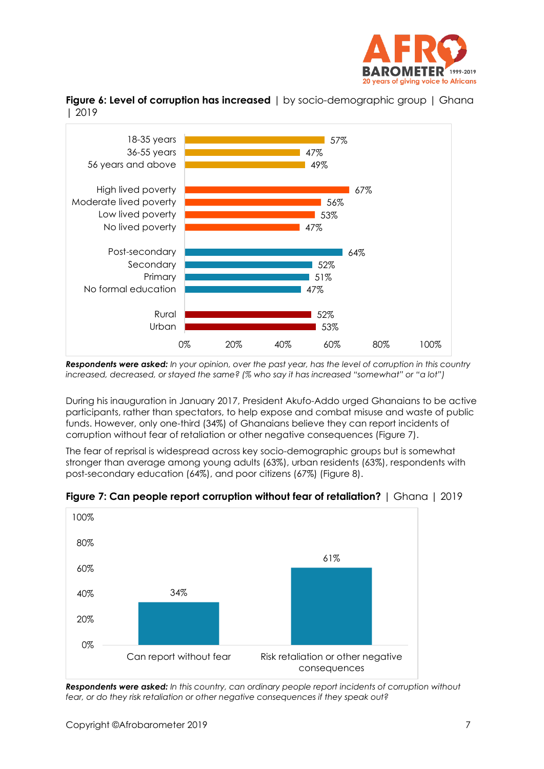





*Respondents were asked: In your opinion, over the past year, has the level of corruption in this country increased, decreased, or stayed the same? (% who say it has increased "somewhat" or "a lot")*

During his inauguration in January 2017, President Akufo-Addo urged Ghanaians to be active participants, rather than spectators, to help expose and combat misuse and waste of public funds. However, only one-third (34%) of Ghanaians believe they can report incidents of corruption without fear of retaliation or other negative consequences (Figure 7).

The fear of reprisal is widespread across key socio-demographic groups but is somewhat stronger than average among young adults (63%), urban residents (63%), respondents with post-secondary education (64%), and poor citizens (67%) (Figure 8).



**Figure 7: Can people report corruption without fear of retaliation?** | Ghana | 2019

*Respondents were asked: In this country, can ordinary people report incidents of corruption without fear, or do they risk retaliation or other negative consequences if they speak out?*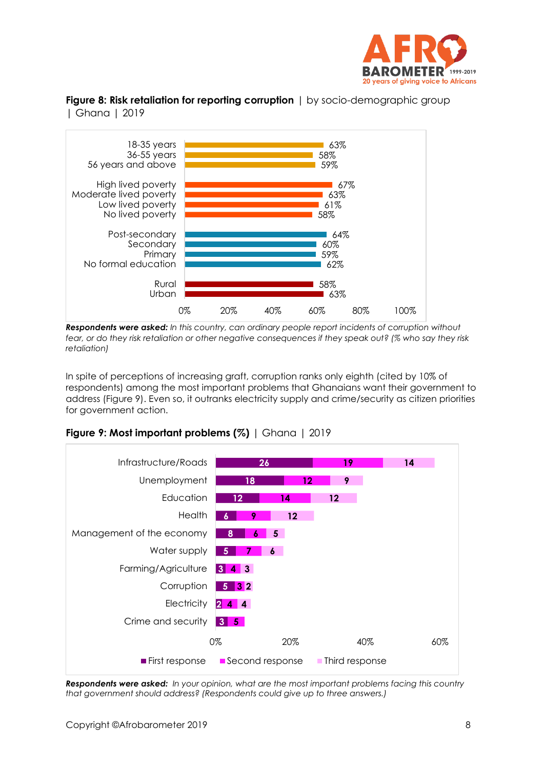

**Figure 8: Risk retaliation for reporting corruption** | by socio-demographic group | Ghana | 2019



*Respondents were asked: In this country, can ordinary people report incidents of corruption without fear, or do they risk retaliation or other negative consequences if they speak out? (% who say they risk retaliation)*

In spite of perceptions of increasing graft, corruption ranks only eighth (cited by 10% of respondents) among the most important problems that Ghanaians want their government to address (Figure 9). Even so, it outranks electricity supply and crime/security as citizen priorities for government action.



**Figure 9: Most important problems (%)** | Ghana | 2019

*Respondents were asked: In your opinion, what are the most important problems facing this country that government should address? (Respondents could give up to three answers.)*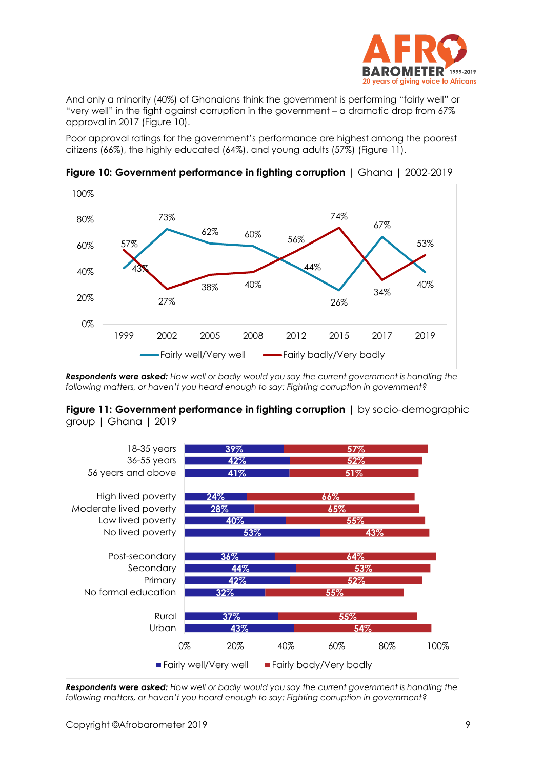

And only a minority (40%) of Ghanaians think the government is performing "fairly well" or "very well" in the fight against corruption in the government – a dramatic drop from 67% approval in 2017 (Figure 10).

Poor approval ratings for the government's performance are highest among the poorest citizens (66%), the highly educated (64%), and young adults (57%) (Figure 11).



**Figure 10: Government performance in fighting corruption** | Ghana | 2002-2019

*Respondents were asked: How well or badly would you say the current government is handling the following matters, or haven't you heard enough to say: Fighting corruption in government?*





*Respondents were asked: How well or badly would you say the current government is handling the following matters, or haven't you heard enough to say: Fighting corruption in government?*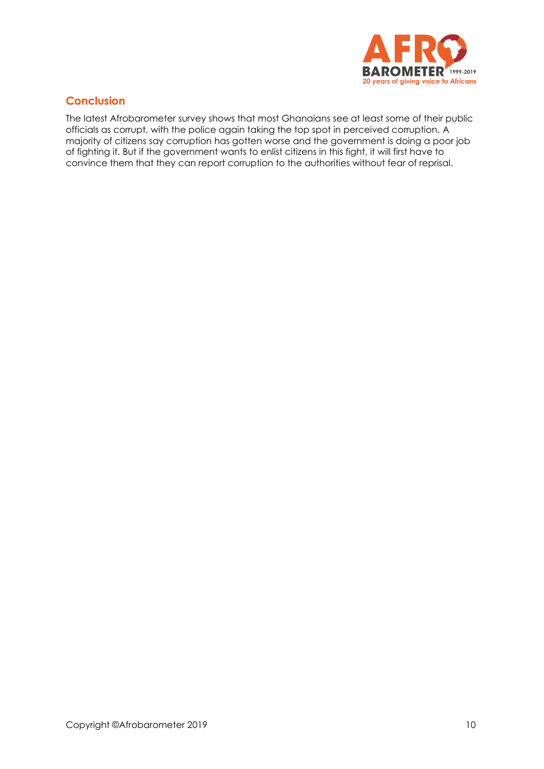

## **Conclusion**

The latest Afrobarometer survey shows that most Ghanaians see at least some of their public officials as corrupt, with the police again taking the top spot in perceived corruption. A majority of citizens say corruption has gotten worse and the government is doing a poor job of fighting it. But if the government wants to enlist citizens in this fight, it will first have to convince them that they can report corruption to the authorities without fear of reprisal.